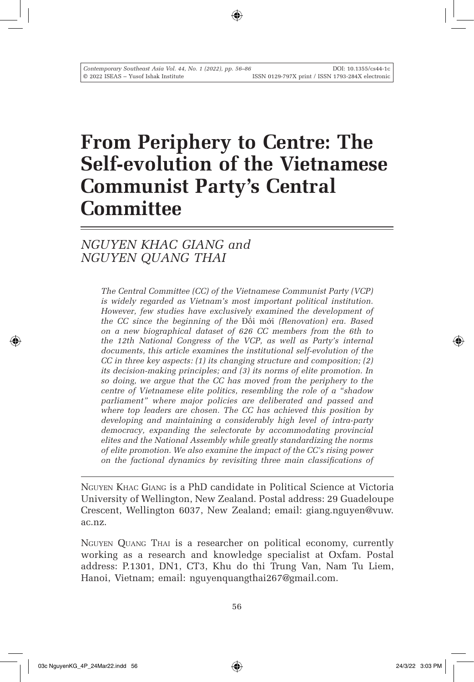# **From Periphery to Centre: The Self-evolution of the Vietnamese Communist Party's Central Committee**

## *NGUYEN KHAC GIANG and NGUYEN QUANG THAI*

*The Central Committee (CC) of the Vietnamese Communist Party (VCP) is widely regarded as Vietnam's most important political institution.*  However, few studies have exclusively examined the development of *the CC since the beginning of the* Đổi mới *(Renovation) era. Based on a new biographical dataset of 626 CC members from the 6th to the 12th National Congress of the VCP, as well as Party's internal documents, this article examines the institutional self-evolution of the CC in three key aspects: (1) its changing structure and composition; (2) its decision-making principles; and (3) its norms of elite promotion. In so doing, we argue that the CC has moved from the periphery to the centre of Vietnamese elite politics, resembling the role of a "shadow parliament" where major policies are deliberated and passed and where top leaders are chosen. The CC has achieved this position by developing and maintaining a considerably high level of intra-party democracy, expanding the selectorate by accommodating provincial elites and the National Assembly while greatly standardizing the norms of elite promotion. We also examine the impact of the CC's rising power on the factional dynamics by revisiting three main classifications of* 

Nguyen Khac Giang is a PhD candidate in Political Science at Victoria University of Wellington, New Zealand. Postal address: 29 Guadeloupe Crescent, Wellington 6037, New Zealand; email: giang.nguyen@vuw. ac.nz.

Nguyen Quang Thai is a researcher on political economy, currently working as a research and knowledge specialist at Oxfam. Postal address: P.1301, DN1, CT3, Khu do thi Trung Van, Nam Tu Liem, Hanoi, Vietnam; email: nguyenquangthai267@gmail.com.

↔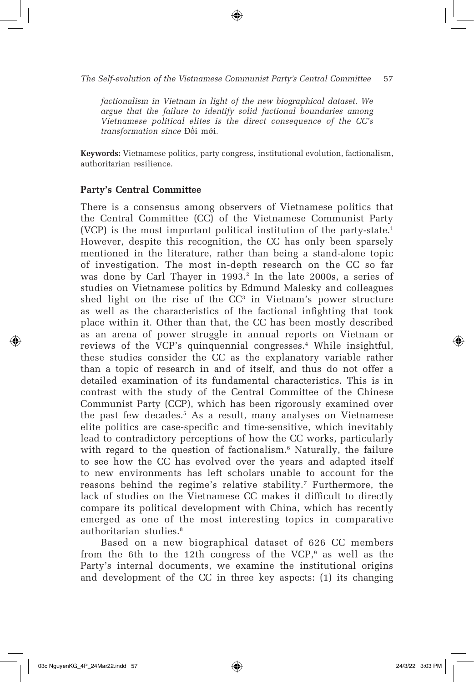*The Self-evolution of the Vietnamese Communist Party's Central Committee* 57

*factionalism in Vietnam in light of the new biographical dataset. We argue that the failure to identify solid factional boundaries among Vietnamese political elites is the direct consequence of the CC's transformation since* Đổi mới*.* 

**Keywords:** Vietnamese politics, party congress, institutional evolution, factionalism, authoritarian resilience.

#### **Party's Central Committee**

There is a consensus among observers of Vietnamese politics that the Central Committee (CC) of the Vietnamese Communist Party (VCP) is the most important political institution of the party-state.1 However, despite this recognition, the CC has only been sparsely mentioned in the literature, rather than being a stand-alone topic of investigation. The most in-depth research on the CC so far was done by Carl Thayer in 1993.<sup>2</sup> In the late 2000s, a series of studies on Vietnamese politics by Edmund Malesky and colleagues shed light on the rise of the  $CC<sup>3</sup>$  in Vietnam's power structure as well as the characteristics of the factional infighting that took place within it. Other than that, the CC has been mostly described as an arena of power struggle in annual reports on Vietnam or reviews of the VCP's quinquennial congresses.4 While insightful, these studies consider the CC as the explanatory variable rather than a topic of research in and of itself, and thus do not offer a detailed examination of its fundamental characteristics. This is in contrast with the study of the Central Committee of the Chinese Communist Party (CCP), which has been rigorously examined over the past few decades.5 As a result, many analyses on Vietnamese elite politics are case-specific and time-sensitive, which inevitably lead to contradictory perceptions of how the CC works, particularly with regard to the question of factionalism.<sup>6</sup> Naturally, the failure to see how the CC has evolved over the years and adapted itself to new environments has left scholars unable to account for the reasons behind the regime's relative stability.<sup>7</sup> Furthermore, the lack of studies on the Vietnamese CC makes it difficult to directly compare its political development with China, which has recently emerged as one of the most interesting topics in comparative authoritarian studies.<sup>8</sup>

Based on a new biographical dataset of 626 CC members from the 6th to the 12th congress of the VCP, $9$  as well as the Party's internal documents, we examine the institutional origins and development of the CC in three key aspects: (1) its changing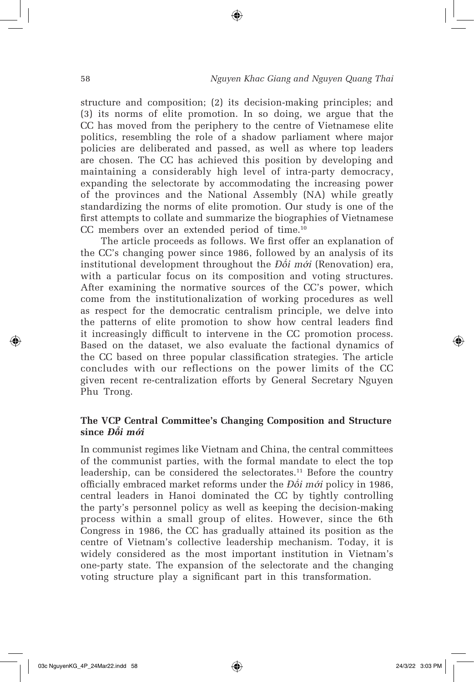structure and composition; (2) its decision-making principles; and (3) its norms of elite promotion. In so doing, we argue that the CC has moved from the periphery to the centre of Vietnamese elite politics, resembling the role of a shadow parliament where major policies are deliberated and passed, as well as where top leaders are chosen. The CC has achieved this position by developing and maintaining a considerably high level of intra-party democracy, expanding the selectorate by accommodating the increasing power of the provinces and the National Assembly (NA) while greatly standardizing the norms of elite promotion. Our study is one of the first attempts to collate and summarize the biographies of Vietnamese CC members over an extended period of time.10

⊕

The article proceeds as follows. We first offer an explanation of the CC's changing power since 1986, followed by an analysis of its institutional development throughout the *Đ*ổ*i m*ớ*i* (Renovation) era, with a particular focus on its composition and voting structures. After examining the normative sources of the CC's power, which come from the institutionalization of working procedures as well as respect for the democratic centralism principle, we delve into the patterns of elite promotion to show how central leaders find it increasingly difficult to intervene in the CC promotion process. Based on the dataset, we also evaluate the factional dynamics of the CC based on three popular classification strategies. The article concludes with our reflections on the power limits of the CC given recent re-centralization efforts by General Secretary Nguyen Phu Trong.

### **The VCP Central Committee's Changing Composition and Structure since** *Đ***ổ***i m***ớ***i*

In communist regimes like Vietnam and China, the central committees of the communist parties, with the formal mandate to elect the top leadership, can be considered the selectorates.<sup>11</sup> Before the country officially embraced market reforms under the *Đ*ổ*i m*ớ*i* policy in 1986, central leaders in Hanoi dominated the CC by tightly controlling the party's personnel policy as well as keeping the decision-making process within a small group of elites. However, since the 6th Congress in 1986, the CC has gradually attained its position as the centre of Vietnam's collective leadership mechanism. Today, it is widely considered as the most important institution in Vietnam's one-party state. The expansion of the selectorate and the changing voting structure play a significant part in this transformation.

↔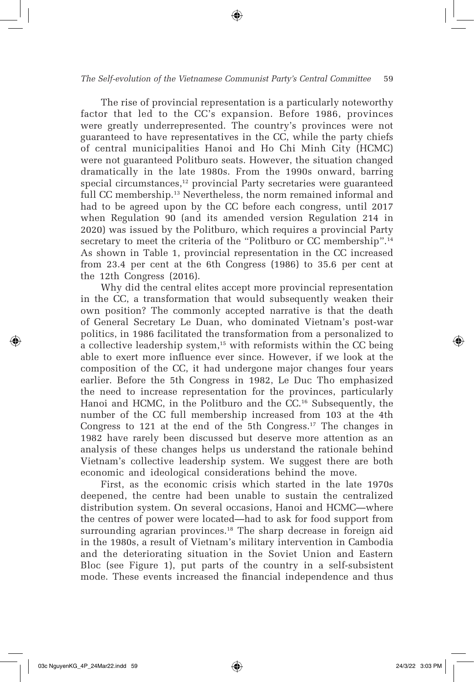#### *The Self-evolution of the Vietnamese Communist Party's Central Committee* 59

The rise of provincial representation is a particularly noteworthy factor that led to the CC's expansion. Before 1986, provinces were greatly underrepresented. The country's provinces were not guaranteed to have representatives in the CC, while the party chiefs of central municipalities Hanoi and Ho Chi Minh City (HCMC) were not guaranteed Politburo seats. However, the situation changed dramatically in the late 1980s. From the 1990s onward, barring special circumstances,<sup>12</sup> provincial Party secretaries were guaranteed full CC membership.<sup>13</sup> Nevertheless, the norm remained informal and had to be agreed upon by the CC before each congress, until 2017 when Regulation 90 (and its amended version Regulation 214 in 2020) was issued by the Politburo, which requires a provincial Party secretary to meet the criteria of the "Politburo or CC membership".<sup>14</sup> As shown in Table 1, provincial representation in the CC increased from 23.4 per cent at the 6th Congress (1986) to 35.6 per cent at the 12th Congress (2016).

Why did the central elites accept more provincial representation in the CC, a transformation that would subsequently weaken their own position? The commonly accepted narrative is that the death of General Secretary Le Duan, who dominated Vietnam's post-war politics, in 1986 facilitated the transformation from a personalized to a collective leadership system, $15$  with reformists within the CC being able to exert more influence ever since. However, if we look at the composition of the CC, it had undergone major changes four years earlier. Before the 5th Congress in 1982, Le Duc Tho emphasized the need to increase representation for the provinces, particularly Hanoi and HCMC, in the Politburo and the CC.<sup>16</sup> Subsequently, the number of the CC full membership increased from 103 at the 4th Congress to 121 at the end of the 5th Congress.17 The changes in 1982 have rarely been discussed but deserve more attention as an analysis of these changes helps us understand the rationale behind Vietnam's collective leadership system. We suggest there are both economic and ideological considerations behind the move.

First, as the economic crisis which started in the late 1970s deepened, the centre had been unable to sustain the centralized distribution system. On several occasions, Hanoi and HCMC—where the centres of power were located—had to ask for food support from surrounding agrarian provinces.<sup>18</sup> The sharp decrease in foreign aid in the 1980s, a result of Vietnam's military intervention in Cambodia and the deteriorating situation in the Soviet Union and Eastern Bloc (see Figure 1), put parts of the country in a self-subsistent mode. These events increased the financial independence and thus

⇔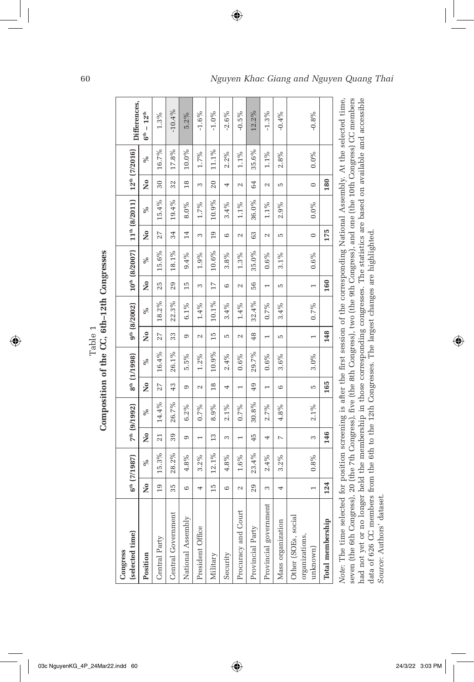| (selected time)<br>Congress                                                                                                                                                                                                                                                                                                                                                                                                                                                                                                                                 |                 | $6^{th}$ (7/1987) |                | 7 <sup>th</sup> (9/1992) |                | $8^{th}$ (1/1998) |                   | $9^{th}$ (8/2002) |                |           |                      | $10^{th}$ (8/2007)   $11^{th}$ (8/2011)   $12^{th}$ (7/2016) |                   |          | Differences,       |
|-------------------------------------------------------------------------------------------------------------------------------------------------------------------------------------------------------------------------------------------------------------------------------------------------------------------------------------------------------------------------------------------------------------------------------------------------------------------------------------------------------------------------------------------------------------|-----------------|-------------------|----------------|--------------------------|----------------|-------------------|-------------------|-------------------|----------------|-----------|----------------------|--------------------------------------------------------------|-------------------|----------|--------------------|
| Position                                                                                                                                                                                                                                                                                                                                                                                                                                                                                                                                                    | Σò              | $\%$              | Σò             | %                        | Σò             | $\%$              | ż                 | $\%$              | ż              | $\%$      | $\tilde{\mathbf{z}}$ | %                                                            | ž                 | $\%$     | $6^{th} - 12^{th}$ |
| Central Party                                                                                                                                                                                                                                                                                                                                                                                                                                                                                                                                               | $\overline{19}$ | 15.3%             | 21             | 14.4%                    | 27             | 16.4%             | 27                | 18.2%             | 25             | 15.6%     | 27                   | 15.4%                                                        | $30\,$            | 16.7%    | $1.3\%$            |
| Central Government                                                                                                                                                                                                                                                                                                                                                                                                                                                                                                                                          | 35              | 28.2%             | 39             | 26.7%                    | 43             | 26.1%             | 33                | 22.3%             | 29             | 18.1%     | 34                   | 19.4%                                                        | 32                | 17.8%    | $-10.4\%$          |
| National Assembly                                                                                                                                                                                                                                                                                                                                                                                                                                                                                                                                           | 6               | 4.8%              | Φ              | 6.2%                     | Φ              | 5.5%              | Φ                 | $6.1\%$           | 15             | 9.4%      | 14                   | 8.0%                                                         | $\frac{8}{18}$    | $10.0\%$ | $5.2\%$            |
| President Office                                                                                                                                                                                                                                                                                                                                                                                                                                                                                                                                            | 4               | $3.2\%$           | $\overline{ }$ | $0.7\%$                  | $\sim$         | $1.2\%$           | $\mathcal{L}$     | $1.4\%$           | 3              | 1.9%      | 3                    | $1.7\%$                                                      | 3                 | 1.7%     | $-1.6%$            |
| Military                                                                                                                                                                                                                                                                                                                                                                                                                                                                                                                                                    | 15              | $12.1\%$          | $\frac{3}{2}$  | 8.9%                     | $\frac{8}{18}$ | $10.9\%$          | 15                | 10.1%             | 17             | 10.6%     | $\frac{1}{2}$        | 10.9%                                                        | $\overline{20}$   | 11.1%    | $-1.0\%$           |
| Security                                                                                                                                                                                                                                                                                                                                                                                                                                                                                                                                                    | 6               | 4.8%              | 3              | $2.1\%$                  | 4              | 2.4%              | LO                | 3.4%              | 6              | 3.8%      | $\circ$              | $3.4\%$                                                      | 4                 | $2.2\%$  | $-2.6%$            |
| Procuracy and Court                                                                                                                                                                                                                                                                                                                                                                                                                                                                                                                                         | $\sim$          | $1.6\%$           | $\overline{ }$ | $0.7\%$                  | $\overline{ }$ | $0.6\%$           | $\mathbf{\Omega}$ | 1.4%              | 2              | $1.3\,\%$ | $\sim$               | $1.1\%$                                                      | $\mathbf{\Omega}$ | $1.1\%$  | $-0.5\%$           |
| Provincial Party                                                                                                                                                                                                                                                                                                                                                                                                                                                                                                                                            | 29              | 23.4%             | 45             | 30.8%                    | 49             | 29.7%             | 48                | 32.4%             | 56             | 35.0%     | 63                   | 36.0%                                                        | 64                | 35.6%    | 12.2%              |
| Provincial government                                                                                                                                                                                                                                                                                                                                                                                                                                                                                                                                       | 3               | 2.4%              | 4              | 2.7%                     | $\overline{ }$ | $0.6\%$           | $\overline{ }$    | $0.7\%$           | $\overline{ }$ | $0.6\%$   | 2                    | $1.1\%$                                                      | $\mathbf{\Omega}$ | $1.1\%$  | $-1.3\%$           |
| Mass organization                                                                                                                                                                                                                                                                                                                                                                                                                                                                                                                                           | 4               | $3.2\%$           | $\overline{a}$ | 4.8%                     | $\circ$        | 3.6%              | Б                 | 3.4%              | Б              | $3.1\%$   | Б                    | 2.9%                                                         | Б                 | 2.8%     | $-0.4%$            |
| Other (SOEs, social<br>organizations,<br>$unknown$                                                                                                                                                                                                                                                                                                                                                                                                                                                                                                          |                 | 0.8%              | 3              | $2.1\%$                  | Б              | $3.0\%$           |                   | $0.7\%$           | $\overline{ }$ | $0.6\%$   | $\circ$              | $0.0\%$                                                      | $\circ$           | $0.0\%$  | $-0.8%$            |
| Total membership                                                                                                                                                                                                                                                                                                                                                                                                                                                                                                                                            | 124             |                   | 146            |                          | 165            |                   | 148               |                   | 160            |           | 175                  |                                                              | 180               |          |                    |
| had not yet or no longer held the membership in those corresponding congresses. The statistics are based on available and accessible<br>Note: The time selected for position screening is after the first session of the corresponding National Assembly. At the selected time,<br>seven (the 6th Congress), 20 (the 7th Congress), five (the 8th Congress), two (the 9th Congress), and one (the 10th Congress) CC members<br>data of 626 CC members from the 6th to the 12th Congresses. The largest changes are highlighted.<br>Source: Authors' dataset |                 |                   |                |                          |                |                   |                   |                   |                |           |                      |                                                              |                   |          |                    |
|                                                                                                                                                                                                                                                                                                                                                                                                                                                                                                                                                             |                 |                   |                |                          |                |                   |                   |                   |                |           |                      |                                                              |                   |          |                    |

 $\bigoplus$ 

Composition of the CC, 6th-12th Congresses Table 1 **Composition of the CC, 6th–12th Congresses** Table 1

 $\bigoplus$ 

03c NguyenKG\_4P\_24Mar22.indd 60 24/3/22 3:03 PM

 $\bigoplus$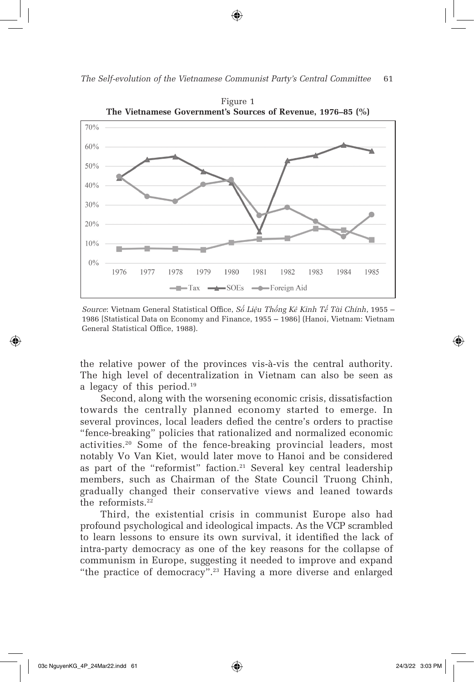

⊕



Figure 1 **The Vietnamese Government's Sources of Revenue, 1976–85 (%)**

*Source*: Vietnam General Statistical Office, *Số Liệu Thống Kê Kinh Tế Tài Chính*, 1955 – 1986 [Statistical Data on Economy and Finance, 1955 – 1986] (Hanoi, Vietnam: Vietnam General Statistical Office, 1988).

the relative power of the provinces vis-à-vis the central authority. The high level of decentralization in Vietnam can also be seen as a legacy of this period.<sup>19</sup>

Second, along with the worsening economic crisis, dissatisfaction towards the centrally planned economy started to emerge. In several provinces, local leaders defied the centre's orders to practise "fence-breaking" policies that rationalized and normalized economic activities.20 Some of the fence-breaking provincial leaders, most notably Vo Van Kiet, would later move to Hanoi and be considered as part of the "reformist" faction.<sup>21</sup> Several key central leadership members, such as Chairman of the State Council Truong Chinh, gradually changed their conservative views and leaned towards the reformists.<sup>22</sup>

Third, the existential crisis in communist Europe also had profound psychological and ideological impacts. As the VCP scrambled to learn lessons to ensure its own survival, it identified the lack of intra-party democracy as one of the key reasons for the collapse of communism in Europe, suggesting it needed to improve and expand "the practice of democracy".23 Having a more diverse and enlarged

⊕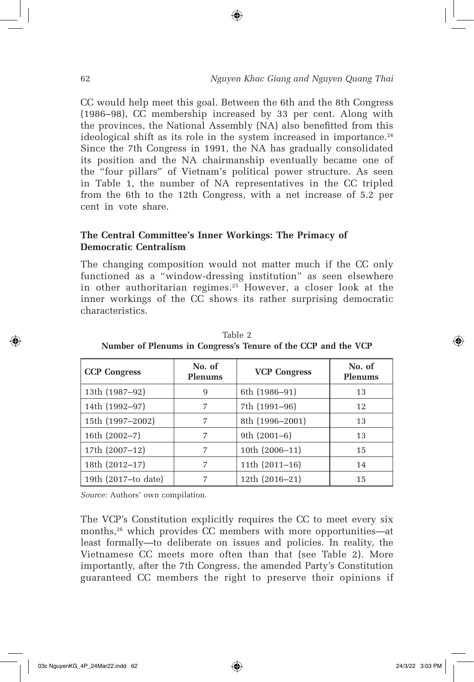CC would help meet this goal. Between the 6th and the 8th Congress (1986–98), CC membership increased by 33 per cent. Along with the provinces, the National Assembly (NA) also benefitted from this ideological shift as its role in the system increased in importance. $24$ Since the 7th Congress in 1991, the NA has gradually consolidated its position and the NA chairmanship eventually became one of the "four pillars" of Vietnam's political power structure. As seen in Table 1, the number of NA representatives in the CC tripled from the 6th to the 12th Congress, with a net increase of 5.2 per cent in vote share.

⊕

### **The Central Committee's Inner Workings: The Primacy of Democratic Centralism**

The changing composition would not matter much if the CC only functioned as a "window-dressing institution" as seen elsewhere in other authoritarian regimes.<sup>25</sup> However, a closer look at the inner workings of the CC shows its rather surprising democratic characteristics.

| <b>CCP Congress</b> | No. of<br><b>Plenums</b> | <b>VCP Congress</b> | No. of<br><b>Plenums</b> |
|---------------------|--------------------------|---------------------|--------------------------|
| 13th (1987-92)      | 9                        | 6th (1986–91)       | 13                       |
| 14th (1992-97)      | 7                        | 7th (1991-96)       | 12                       |
| 15th (1997-2002)    | 7                        | 8th (1996–2001)     | 13                       |
| 16th (2002-7)       | 7                        | 9th $(2001-6)$      | 13                       |
| 17th (2007-12)      | 7                        | 10th (2006-11)      | 15                       |
| 18th (2012-17)      | 7                        | 11th (2011-16)      | 14                       |
| 19th (2017-to date) | 7                        | 12th (2016–21)      | 15                       |

Table 2 **Number of Plenums in Congress's Tenure of the CCP and the VCP**

*Source:* Authors' own compilation.

The VCP's Constitution explicitly requires the CC to meet every six months,<sup>26</sup> which provides CC members with more opportunities—at least formally—to deliberate on issues and policies. In reality, the Vietnamese CC meets more often than that (see Table 2). More importantly, after the 7th Congress, the amended Party's Constitution guaranteed CC members the right to preserve their opinions if

↔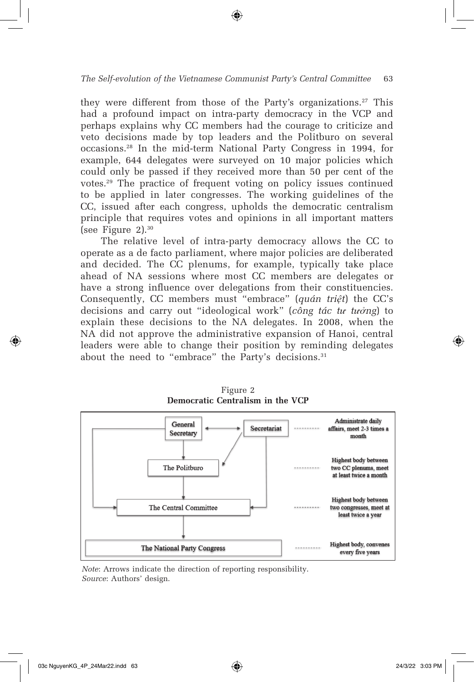#### *The Self-evolution of the Vietnamese Communist Party's Central Committee* 63

they were different from those of the Party's organizations.<sup>27</sup> This had a profound impact on intra-party democracy in the VCP and perhaps explains why CC members had the courage to criticize and veto decisions made by top leaders and the Politburo on several occasions.28 In the mid-term National Party Congress in 1994, for example, 644 delegates were surveyed on 10 major policies which could only be passed if they received more than 50 per cent of the votes.29 The practice of frequent voting on policy issues continued to be applied in later congresses. The working guidelines of the CC, issued after each congress, upholds the democratic centralism principle that requires votes and opinions in all important matters (see Figure 2).30

The relative level of intra-party democracy allows the CC to operate as a de facto parliament, where major policies are deliberated and decided. The CC plenums, for example, typically take place ahead of NA sessions where most CC members are delegates or have a strong influence over delegations from their constituencies. Consequently, CC members must "embrace" (*quán triệt*) the CC's decisions and carry out "ideological work" (*công tác tư tưởng*) to explain these decisions to the NA delegates. In 2008, when the NA did not approve the administrative expansion of Hanoi, central leaders were able to change their position by reminding delegates about the need to "embrace" the Party's decisions.<sup>31</sup>



Figure 2 **Democratic Centralism in the VCP**

*Note*: Arrows indicate the direction of reporting responsibility. *Source*: Authors' design.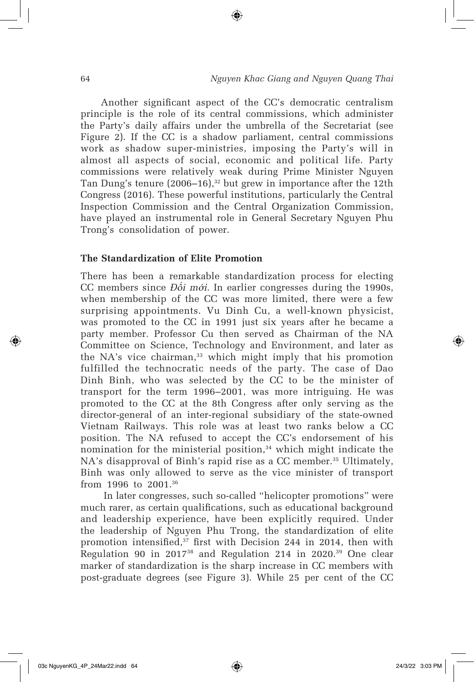Another significant aspect of the CC's democratic centralism principle is the role of its central commissions, which administer the Party's daily affairs under the umbrella of the Secretariat (see Figure 2). If the CC is a shadow parliament, central commissions work as shadow super-ministries, imposing the Party's will in almost all aspects of social, economic and political life. Party commissions were relatively weak during Prime Minister Nguyen Tan Dung's tenure  $(2006-16)$ ,<sup>32</sup> but grew in importance after the 12th Congress (2016). These powerful institutions, particularly the Central Inspection Commission and the Central Organization Commission, have played an instrumental role in General Secretary Nguyen Phu Trong's consolidation of power.

⊕

#### **The Standardization of Elite Promotion**

There has been a remarkable standardization process for electing CC members since *Đ*ổ*i m*ớ*i*. In earlier congresses during the 1990s, when membership of the CC was more limited, there were a few surprising appointments. Vu Dinh Cu, a well-known physicist, was promoted to the CC in 1991 just six years after he became a party member. Professor Cu then served as Chairman of the NA Committee on Science, Technology and Environment, and later as the NA's vice chairman,<sup>33</sup> which might imply that his promotion fulfilled the technocratic needs of the party. The case of Dao Dinh Binh, who was selected by the CC to be the minister of transport for the term 1996–2001, was more intriguing. He was promoted to the CC at the 8th Congress after only serving as the director-general of an inter-regional subsidiary of the state-owned Vietnam Railways. This role was at least two ranks below a CC position. The NA refused to accept the CC's endorsement of his nomination for the ministerial position,<sup>34</sup> which might indicate the NA's disapproval of Binh's rapid rise as a CC member.<sup>35</sup> Ultimately, Binh was only allowed to serve as the vice minister of transport from 1996 to 2001.36

 In later congresses, such so-called "helicopter promotions" were much rarer, as certain qualifications, such as educational background and leadership experience, have been explicitly required. Under the leadership of Nguyen Phu Trong, the standardization of elite promotion intensified, $3^7$  first with Decision 244 in 2014, then with Regulation 90 in 201738 and Regulation 214 in 2020.39 One clear marker of standardization is the sharp increase in CC members with post-graduate degrees (see Figure 3). While 25 per cent of the CC

↔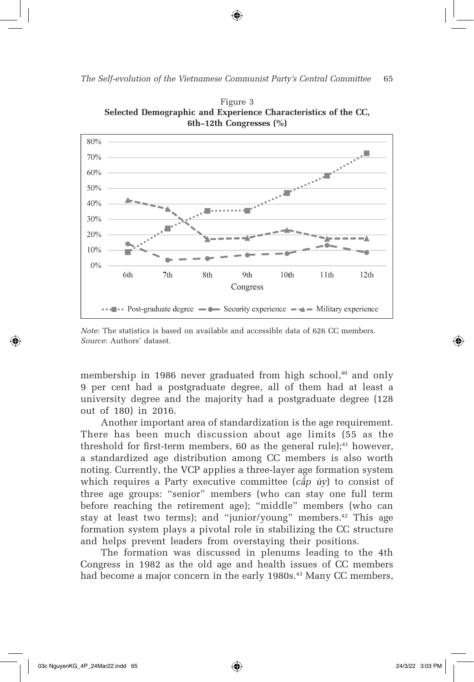⊕



Figure 3 **Selected Demographic and Experience Characteristics of the CC, 6th–12th Congresses (%)**

membership in 1986 never graduated from high school,<sup>40</sup> and only 9 per cent had a postgraduate degree, all of them had at least a university degree and the majority had a postgraduate degree (128 out of 180) in 2016.

Another important area of standardization is the age requirement. There has been much discussion about age limits (55 as the threshold for first-term members,  $60$  as the general rule);<sup>41</sup> however, a standardized age distribution among CC members is also worth noting. Currently, the VCP applies a three-layer age formation system which requires a Party executive committee (*c*ấ*p* ủ*y*) to consist of three age groups: "senior" members (who can stay one full term before reaching the retirement age); "middle" members (who can stay at least two terms); and "junior/young" members.<sup>42</sup> This age formation system plays a pivotal role in stabilizing the CC structure and helps prevent leaders from overstaying their positions.

The formation was discussed in plenums leading to the 4th Congress in 1982 as the old age and health issues of CC members had become a major concern in the early 1980s.<sup>43</sup> Many CC members,

⊕

*Note*: The statistics is based on available and accessible data of 626 CC members. *Source*: Authors' dataset.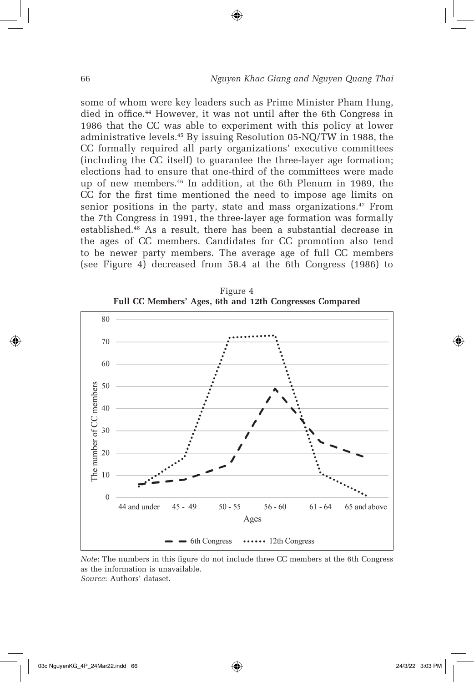some of whom were key leaders such as Prime Minister Pham Hung, died in office.<sup>44</sup> However, it was not until after the 6th Congress in 1986 that the CC was able to experiment with this policy at lower administrative levels.45 By issuing Resolution 05-NQ/TW in 1988, the CC formally required all party organizations' executive committees (including the CC itself) to guarantee the three-layer age formation; elections had to ensure that one-third of the committees were made up of new members.46 In addition, at the 6th Plenum in 1989, the CC for the first time mentioned the need to impose age limits on senior positions in the party, state and mass organizations.<sup>47</sup> From the 7th Congress in 1991, the three-layer age formation was formally established.48 As a result, there has been a substantial decrease in the ages of CC members. Candidates for CC promotion also tend to be newer party members. The average age of full CC members (see Figure 4) decreased from 58.4 at the 6th Congress (1986) to

⊕



Figure 4 **Full CC Members' Ages, 6th and 12th Congresses Compared**

*Note*: The numbers in this figure do not include three CC members at the 6th Congress as the information is unavailable. *Source*: Authors' dataset.

⊕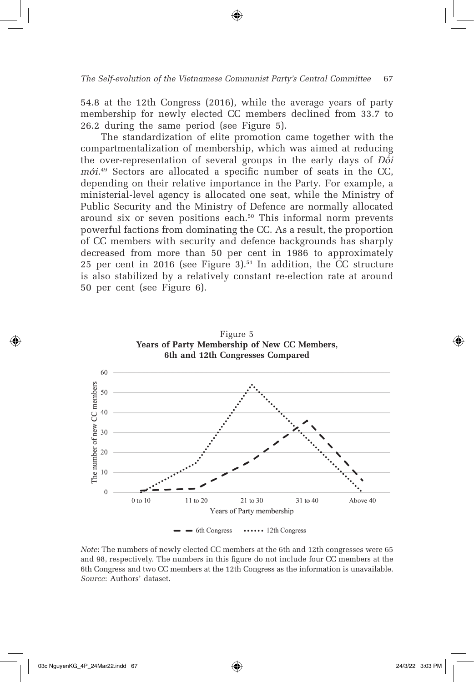54.8 at the 12th Congress (2016), while the average years of party membership for newly elected CC members declined from 33.7 to 26.2 during the same period (see Figure 5).

The standardization of elite promotion came together with the compartmentalization of membership, which was aimed at reducing the over-representation of several groups in the early days of *Đ*ổ*i m*ớ*i.*49 Sectors are allocated a specific number of seats in the CC, depending on their relative importance in the Party. For example, a ministerial-level agency is allocated one seat, while the Ministry of Public Security and the Ministry of Defence are normally allocated around six or seven positions each.<sup>50</sup> This informal norm prevents powerful factions from dominating the CC. As a result, the proportion of CC members with security and defence backgrounds has sharply decreased from more than 50 per cent in 1986 to approximately 25 per cent in 2016 (see Figure 3). $51$  In addition, the CC structure is also stabilized by a relatively constant re-election rate at around 50 per cent (see Figure 6).



*Note*: The numbers of newly elected CC members at the 6th and 12th congresses were 65 and 98, respectively. The numbers in this figure do not include four CC members at the 6th Congress and two CC members at the 12th Congress as the information is unavailable. *Source*: Authors' dataset.

⊕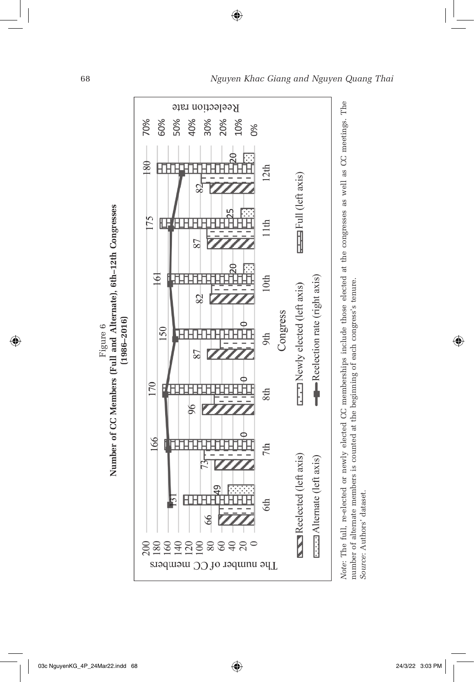

⊕

Note: The full, re-elected or newly elected CC memberships include those elected at the congresses as well as CC meetings. The *Note:* The full, re-elected or newly elected CC memberships include those elected at the congresses as well as CC meetings. The<br>number of alternate members is counted at the beginning of each congress's tenure.<br>Source: Au number of alternate members is counted at the beginning of each congress's tenure. Source: Authors' dataset.

68 *Nguyen Khac Giang and Nguyen Quang Thai*

Figure 6

 $\bigoplus$ 

 $\bigoplus$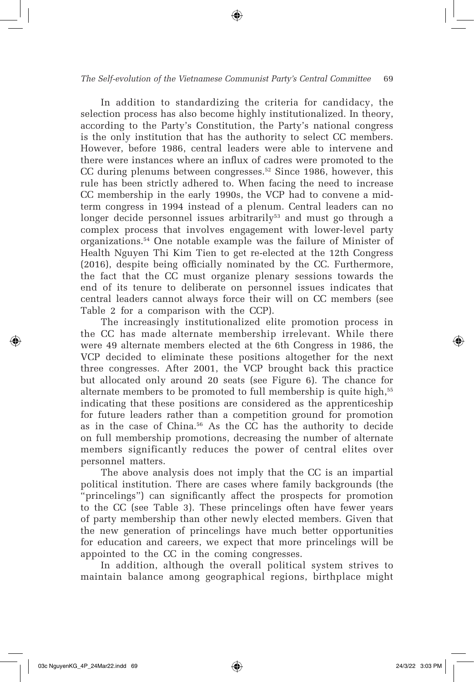In addition to standardizing the criteria for candidacy, the selection process has also become highly institutionalized. In theory, according to the Party's Constitution, the Party's national congress is the only institution that has the authority to select CC members. However, before 1986, central leaders were able to intervene and there were instances where an influx of cadres were promoted to the CC during plenums between congresses.<sup>52</sup> Since 1986, however, this rule has been strictly adhered to. When facing the need to increase CC membership in the early 1990s, the VCP had to convene a midterm congress in 1994 instead of a plenum. Central leaders can no longer decide personnel issues arbitrarily<sup>53</sup> and must go through a complex process that involves engagement with lower-level party organizations.54 One notable example was the failure of Minister of Health Nguyen Thi Kim Tien to get re-elected at the 12th Congress (2016), despite being officially nominated by the CC. Furthermore, the fact that the CC must organize plenary sessions towards the end of its tenure to deliberate on personnel issues indicates that central leaders cannot always force their will on CC members (see Table 2 for a comparison with the CCP).

The increasingly institutionalized elite promotion process in the CC has made alternate membership irrelevant. While there were 49 alternate members elected at the 6th Congress in 1986, the VCP decided to eliminate these positions altogether for the next three congresses. After 2001, the VCP brought back this practice but allocated only around 20 seats (see Figure 6). The chance for alternate members to be promoted to full membership is quite high,<sup>55</sup> indicating that these positions are considered as the apprenticeship for future leaders rather than a competition ground for promotion as in the case of China.56 As the CC has the authority to decide on full membership promotions, decreasing the number of alternate members significantly reduces the power of central elites over personnel matters.

The above analysis does not imply that the CC is an impartial political institution. There are cases where family backgrounds (the "princelings") can significantly affect the prospects for promotion to the CC (see Table 3). These princelings often have fewer years of party membership than other newly elected members. Given that the new generation of princelings have much better opportunities for education and careers, we expect that more princelings will be appointed to the CC in the coming congresses.

In addition, although the overall political system strives to maintain balance among geographical regions, birthplace might

⊕

⇔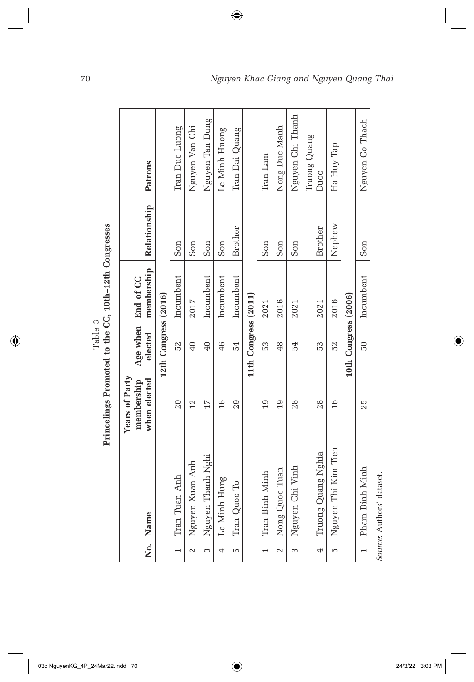|                          |                     | ETTRETTE ET DIE DEE GOTTE STELLEN EN DE |                      |                      |              |                      |
|--------------------------|---------------------|-----------------------------------------|----------------------|----------------------|--------------|----------------------|
|                          |                     | Years of Party<br>membership            |                      | Age when   End of CC |              |                      |
|                          | No.   Name          | when elected                            | elected              | membership           | Relationship | Patrons              |
|                          |                     |                                         | 12th Congress (2016) |                      |              |                      |
| $\overline{ }$           | Tran Tuan Anh       | 20                                      | 52                   | Incumbent            | Son          | Tran Duc Luong       |
| $\sim$                   | Nguyen Xuan Anh     | 12                                      | $\overline{0}$       | 2017                 | Son          | Nguyen Van Chi       |
| 3                        | Nguyen Thanh Nghi   | 17                                      | 40                   | Incumbent            | Son          | Nguyen Tan Dung      |
| 4                        | Le Minh Hung        | 16                                      | 46                   | Incumbent            | Son          | Le Minh Huong        |
| Ю                        | Tran Quoc To        | 29                                      | 54                   | Incumbent            | Brother      | Tran Dai Quang       |
|                          |                     |                                         | 11th Congress (2011) |                      |              |                      |
| $\overline{\phantom{0}}$ | Tran Binh Minh      | $\overline{0}$                          | 53                   | 2021                 | Son          | Tran Lam             |
| 2                        | Nong Quoc Tuan      | 19                                      | 48                   | 2016                 | Son          | Nong Duc Manh        |
| $\infty$                 | Nguyen Chi Vinh     | 28                                      | 54                   | 2021                 | Son          | Nguyen Chi Thanh     |
| 4                        | Truong Quang Nghia  | 28                                      | 53                   | 2021                 | Brother      | Truong Quang<br>Duoc |
| Ю                        | Nguyen Thi Kim Tien | 16                                      | 52                   | 2016                 | Nephew       | Ha Huy Tap           |
|                          |                     |                                         | 10th Congress (2006) |                      |              |                      |
| $\overline{\phantom{0}}$ | Pham Binh Minh      | 25                                      | $50\,$               | Incumbent            | Son          | Nguyen Co Thach      |

 $\bigoplus$ 

Table 3<br>Princelines Promoted to the CC. 10th–12th Congresses Table 3 **Princelings Promoted to the CC, 10th–12th Congresses**

 $\bigoplus$ 

03c NguyenKG\_4P\_24Mar22.indd 70 24/3/22 3:03 PM

*Source*: Authors' dataset.

Source: Authors' dataset.

 $\bigoplus$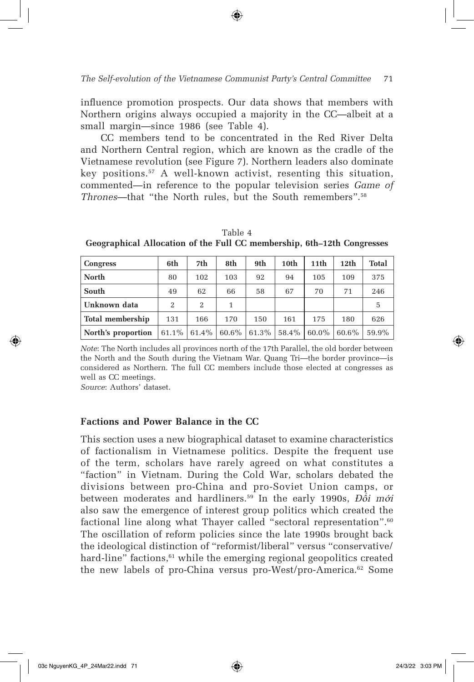influence promotion prospects. Our data shows that members with Northern origins always occupied a majority in the CC—albeit at a small margin—since 1986 (see Table 4).

CC members tend to be concentrated in the Red River Delta and Northern Central region, which are known as the cradle of the Vietnamese revolution (see Figure 7). Northern leaders also dominate key positions.57 A well-known activist, resenting this situation, commented—in reference to the popular television series *Game of Thrones*—that "the North rules, but the South remembers".<sup>58</sup>

| <b>Congress</b>    | 6th      | 7th      | 8th      | 9th   | 10th  | 11 <sup>th</sup> | 12 <sub>th</sub> | <b>Total</b> |
|--------------------|----------|----------|----------|-------|-------|------------------|------------------|--------------|
| <b>North</b>       | 80       | 102      | 103      | 92    | 94    | 105              | 109              | 375          |
| South              | 49       | 62       | 66       | 58    | 67    | 70               | 71               | 246          |
| Unknown data       | 2        | 2        |          |       |       |                  |                  | 5            |
| Total membership   | 131      | 166      | 170      | 150   | 161   | 175              | 180              | 626          |
| North's proportion | $61.1\%$ | $61.4\%$ | $60.6\%$ | 61.3% | 58.4% | 60.0%            | 60.6%            | 59.9%        |

Table 4 **Geographical Allocation of the Full CC membership, 6th–12th Congresses**

*Note*: The North includes all provinces north of the 17th Parallel, the old border between the North and the South during the Vietnam War. Quang Tri—the border province—is considered as Northern. The full CC members include those elected at congresses as well as CC meetings.

*Source*: Authors' dataset.

↔

#### **Factions and Power Balance in the CC**

This section uses a new biographical dataset to examine characteristics of factionalism in Vietnamese politics. Despite the frequent use of the term, scholars have rarely agreed on what constitutes a "faction" in Vietnam. During the Cold War, scholars debated the divisions between pro-China and pro-Soviet Union camps, or between moderates and hardliners.59 In the early 1990s, *Đ*ổ*i m*ớ*i* also saw the emergence of interest group politics which created the factional line along what Thayer called "sectoral representation".<sup>60</sup> The oscillation of reform policies since the late 1990s brought back the ideological distinction of "reformist/liberal" versus "conservative/ hard-line" factions, $61$  while the emerging regional geopolitics created the new labels of pro-China versus pro-West/pro-America.<sup>62</sup> Some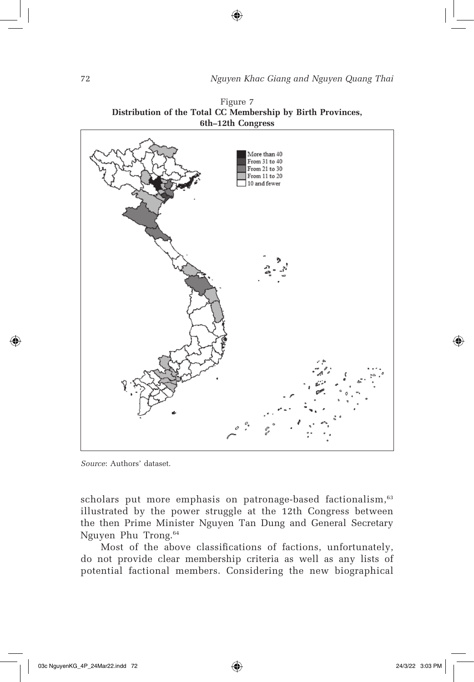

Figure 7 **Distribution of the Total CC Membership by Birth Provinces,** 

*Source*: Authors' dataset.

scholars put more emphasis on patronage-based factionalism,<sup>63</sup> illustrated by the power struggle at the 12th Congress between the then Prime Minister Nguyen Tan Dung and General Secretary Nguyen Phu Trong.64

Most of the above classifications of factions, unfortunately, do not provide clear membership criteria as well as any lists of potential factional members. Considering the new biographical

⊕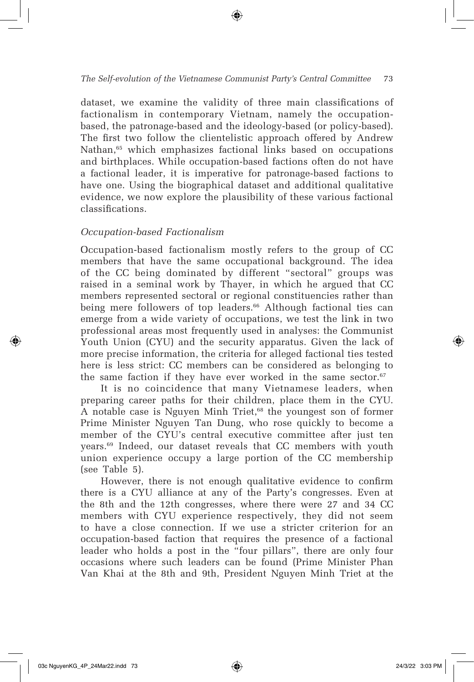#### *The Self-evolution of the Vietnamese Communist Party's Central Committee* 73

dataset, we examine the validity of three main classifications of factionalism in contemporary Vietnam, namely the occupationbased, the patronage-based and the ideology-based (or policy-based). The first two follow the clientelistic approach offered by Andrew Nathan,<sup>65</sup> which emphasizes factional links based on occupations and birthplaces. While occupation-based factions often do not have a factional leader, it is imperative for patronage-based factions to have one. Using the biographical dataset and additional qualitative evidence, we now explore the plausibility of these various factional classifications.

#### *Occupation-based Factionalism*

Occupation-based factionalism mostly refers to the group of CC members that have the same occupational background. The idea of the CC being dominated by different "sectoral" groups was raised in a seminal work by Thayer, in which he argued that CC members represented sectoral or regional constituencies rather than being mere followers of top leaders.<sup>66</sup> Although factional ties can emerge from a wide variety of occupations, we test the link in two professional areas most frequently used in analyses: the Communist Youth Union (CYU) and the security apparatus. Given the lack of more precise information, the criteria for alleged factional ties tested here is less strict: CC members can be considered as belonging to the same faction if they have ever worked in the same sector. $67$ 

It is no coincidence that many Vietnamese leaders, when preparing career paths for their children, place them in the CYU. A notable case is Nguyen Minh Triet,<sup>68</sup> the youngest son of former Prime Minister Nguyen Tan Dung, who rose quickly to become a member of the CYU's central executive committee after just ten years.69 Indeed, our dataset reveals that CC members with youth union experience occupy a large portion of the CC membership (see Table 5).

However, there is not enough qualitative evidence to confirm there is a CYU alliance at any of the Party's congresses. Even at the 8th and the 12th congresses, where there were 27 and 34 CC members with CYU experience respectively, they did not seem to have a close connection. If we use a stricter criterion for an occupation-based faction that requires the presence of a factional leader who holds a post in the "four pillars", there are only four occasions where such leaders can be found (Prime Minister Phan Van Khai at the 8th and 9th, President Nguyen Minh Triet at the

⊕

⇔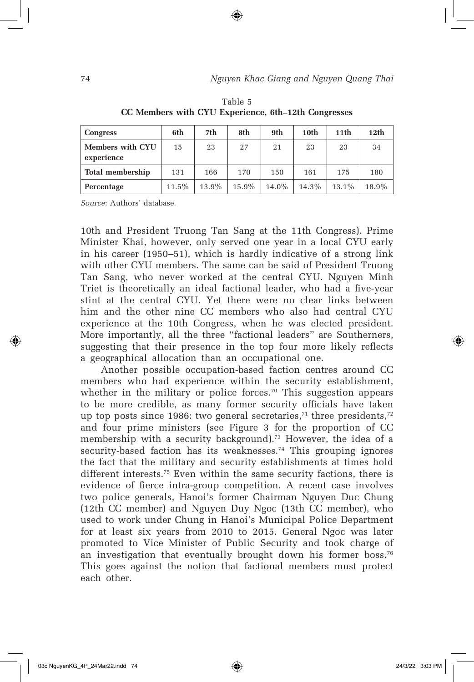| Congress                       | 6th   | 7th   | 8th   | 9th   | 10th  | 11 <sub>th</sub> | 12 <sub>th</sub> |
|--------------------------------|-------|-------|-------|-------|-------|------------------|------------------|
| Members with CYU<br>experience | 15    | 23    | 27    | 21    | 23    | 23               | 34               |
| Total membership               | 131   | 166   | 170   | 150   | 161   | 175              | 180              |
| Percentage                     | 11.5% | 13.9% | 15.9% | 14.0% | 14.3% | 13.1%            | 18.9%            |

Table 5 **CC Members with CYU Experience, 6th–12th Congresses** 

*Source*: Authors' database.

10th and President Truong Tan Sang at the 11th Congress). Prime Minister Khai, however, only served one year in a local CYU early in his career (1950–51), which is hardly indicative of a strong link with other CYU members. The same can be said of President Truong Tan Sang, who never worked at the central CYU. Nguyen Minh Triet is theoretically an ideal factional leader, who had a five-year stint at the central CYU. Yet there were no clear links between him and the other nine CC members who also had central CYU experience at the 10th Congress, when he was elected president. More importantly, all the three "factional leaders" are Southerners, suggesting that their presence in the top four more likely reflects a geographical allocation than an occupational one.

Another possible occupation-based faction centres around CC members who had experience within the security establishment, whether in the military or police forces.<sup>70</sup> This suggestion appears to be more credible, as many former security officials have taken up top posts since 1986: two general secretaries, $71$  three presidents, $72$ and four prime ministers (see Figure 3 for the proportion of CC membership with a security background).<sup>73</sup> However, the idea of a security-based faction has its weaknesses.<sup>74</sup> This grouping ignores the fact that the military and security establishments at times hold different interests.<sup>75</sup> Even within the same security factions, there is evidence of fierce intra-group competition. A recent case involves two police generals, Hanoi's former Chairman Nguyen Duc Chung (12th CC member) and Nguyen Duy Ngoc (13th CC member), who used to work under Chung in Hanoi's Municipal Police Department for at least six years from 2010 to 2015. General Ngoc was later promoted to Vice Minister of Public Security and took charge of an investigation that eventually brought down his former boss.<sup>76</sup> This goes against the notion that factional members must protect each other.

⇔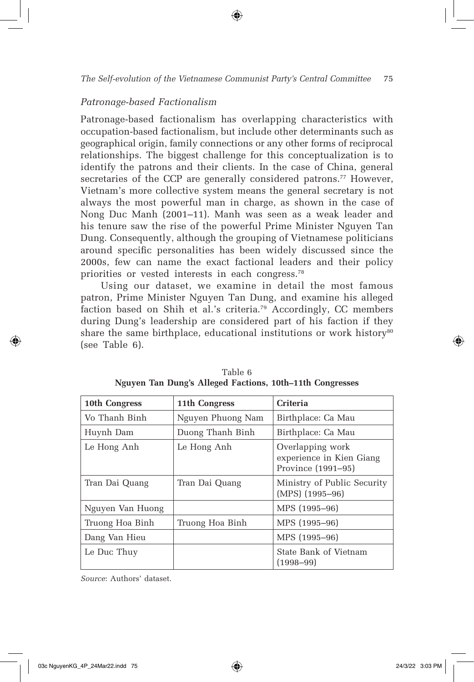#### *Patronage-based Factionalism*

Patronage-based factionalism has overlapping characteristics with occupation-based factionalism, but include other determinants such as geographical origin, family connections or any other forms of reciprocal relationships. The biggest challenge for this conceptualization is to identify the patrons and their clients. In the case of China, general secretaries of the CCP are generally considered patrons.<sup>77</sup> However, Vietnam's more collective system means the general secretary is not always the most powerful man in charge, as shown in the case of Nong Duc Manh (2001–11). Manh was seen as a weak leader and his tenure saw the rise of the powerful Prime Minister Nguyen Tan Dung. Consequently, although the grouping of Vietnamese politicians around specific personalities has been widely discussed since the 2000s, few can name the exact factional leaders and their policy priorities or vested interests in each congress.78

Using our dataset, we examine in detail the most famous patron, Prime Minister Nguyen Tan Dung, and examine his alleged faction based on Shih et al.'s criteria.79 Accordingly, CC members during Dung's leadership are considered part of his faction if they share the same birthplace, educational institutions or work history<sup>80</sup> (see Table 6).

| 10th Congress    | 11th Congress     | <b>Criteria</b>                                                    |
|------------------|-------------------|--------------------------------------------------------------------|
| Vo Thanh Binh    | Nguyen Phuong Nam | Birthplace: Ca Mau                                                 |
| Huynh Dam        | Duong Thanh Binh  | Birthplace: Ca Mau                                                 |
| Le Hong Anh      | Le Hong Anh       | Overlapping work<br>experience in Kien Giang<br>Province (1991–95) |
| Tran Dai Quang   | Tran Dai Quang    | Ministry of Public Security<br>$(MPS)$ (1995-96)                   |
| Nguyen Van Huong |                   | MPS (1995-96)                                                      |
| Truong Hoa Binh  | Truong Hoa Binh   | MPS (1995-96)                                                      |
| Dang Van Hieu    |                   | MPS (1995-96)                                                      |
| Le Duc Thuy      |                   | State Bank of Vietnam<br>$(1998 - 99)$                             |

|  |  | Table 6 |                                                          |
|--|--|---------|----------------------------------------------------------|
|  |  |         | Nguyen Tan Dung's Alleged Factions, 10th-11th Congresses |

*Source*: Authors' dataset.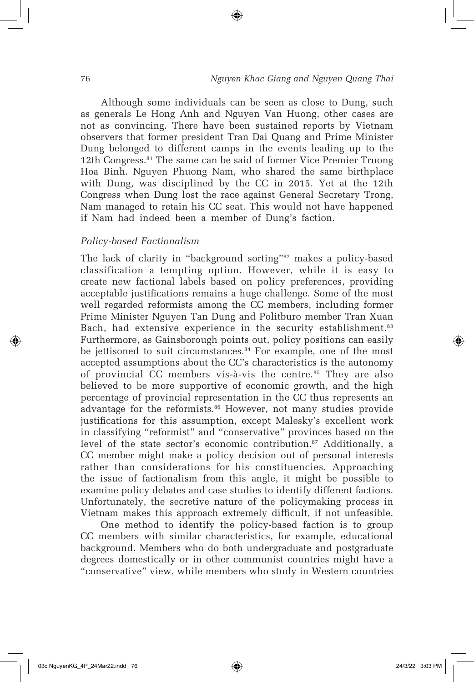#### 76 *Nguyen Khac Giang and Nguyen Quang Thai*

Although some individuals can be seen as close to Dung, such as generals Le Hong Anh and Nguyen Van Huong, other cases are not as convincing. There have been sustained reports by Vietnam observers that former president Tran Dai Quang and Prime Minister Dung belonged to different camps in the events leading up to the 12th Congress.81 The same can be said of former Vice Premier Truong Hoa Binh. Nguyen Phuong Nam, who shared the same birthplace with Dung, was disciplined by the CC in 2015. Yet at the 12th Congress when Dung lost the race against General Secretary Trong, Nam managed to retain his CC seat. This would not have happened if Nam had indeed been a member of Dung's faction.

⊕

#### *Policy-based Factionalism*

The lack of clarity in "background sorting"<sup>82</sup> makes a policy-based classification a tempting option. However, while it is easy to create new factional labels based on policy preferences, providing acceptable justifications remains a huge challenge. Some of the most well regarded reformists among the CC members, including former Prime Minister Nguyen Tan Dung and Politburo member Tran Xuan Bach, had extensive experience in the security establishment.<sup>83</sup> Furthermore, as Gainsborough points out, policy positions can easily be jettisoned to suit circumstances.<sup>84</sup> For example, one of the most accepted assumptions about the CC's characteristics is the autonomy of provincial CC members vis-à-vis the centre.<sup>85</sup> They are also believed to be more supportive of economic growth, and the high percentage of provincial representation in the CC thus represents an advantage for the reformists.<sup>86</sup> However, not many studies provide justifications for this assumption, except Malesky's excellent work in classifying "reformist" and "conservative" provinces based on the level of the state sector's economic contribution.<sup>87</sup> Additionally, a CC member might make a policy decision out of personal interests rather than considerations for his constituencies. Approaching the issue of factionalism from this angle, it might be possible to examine policy debates and case studies to identify different factions. Unfortunately, the secretive nature of the policymaking process in Vietnam makes this approach extremely difficult, if not unfeasible.

One method to identify the policy-based faction is to group CC members with similar characteristics, for example, educational background. Members who do both undergraduate and postgraduate degrees domestically or in other communist countries might have a "conservative" view, while members who study in Western countries

⊕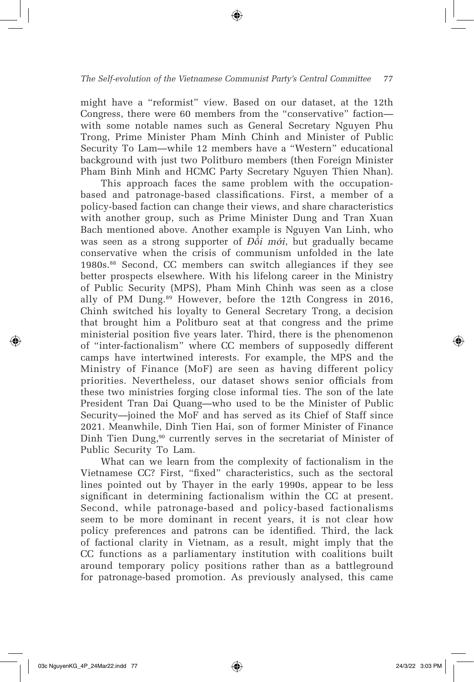#### *The Self-evolution of the Vietnamese Communist Party's Central Committee* 77

⊕

might have a "reformist" view. Based on our dataset, at the 12th Congress, there were 60 members from the "conservative" faction with some notable names such as General Secretary Nguyen Phu Trong, Prime Minister Pham Minh Chinh and Minister of Public Security To Lam—while 12 members have a "Western" educational background with just two Politburo members (then Foreign Minister Pham Binh Minh and HCMC Party Secretary Nguyen Thien Nhan).

This approach faces the same problem with the occupationbased and patronage-based classifications. First, a member of a policy-based faction can change their views, and share characteristics with another group, such as Prime Minister Dung and Tran Xuan Bach mentioned above. Another example is Nguyen Van Linh, who was seen as a strong supporter of *Đ*ổ*i m*ớ*i*, but gradually became conservative when the crisis of communism unfolded in the late 1980s.88 Second, CC members can switch allegiances if they see better prospects elsewhere. With his lifelong career in the Ministry of Public Security (MPS), Pham Minh Chinh was seen as a close ally of PM Dung.89 However, before the 12th Congress in 2016, Chinh switched his loyalty to General Secretary Trong, a decision that brought him a Politburo seat at that congress and the prime ministerial position five years later. Third, there is the phenomenon of "inter-factionalism" where CC members of supposedly different camps have intertwined interests. For example, the MPS and the Ministry of Finance (MoF) are seen as having different policy priorities. Nevertheless, our dataset shows senior officials from these two ministries forging close informal ties. The son of the late President Tran Dai Quang—who used to be the Minister of Public Security—joined the MoF and has served as its Chief of Staff since 2021. Meanwhile, Dinh Tien Hai, son of former Minister of Finance Dinh Tien Dung,<sup>90</sup> currently serves in the secretariat of Minister of Public Security To Lam.

What can we learn from the complexity of factionalism in the Vietnamese CC? First, "fixed" characteristics, such as the sectoral lines pointed out by Thayer in the early 1990s, appear to be less significant in determining factionalism within the CC at present. Second, while patronage-based and policy-based factionalisms seem to be more dominant in recent years, it is not clear how policy preferences and patrons can be identified. Third, the lack of factional clarity in Vietnam, as a result, might imply that the CC functions as a parliamentary institution with coalitions built around temporary policy positions rather than as a battleground for patronage-based promotion. As previously analysed, this came

↔

⇔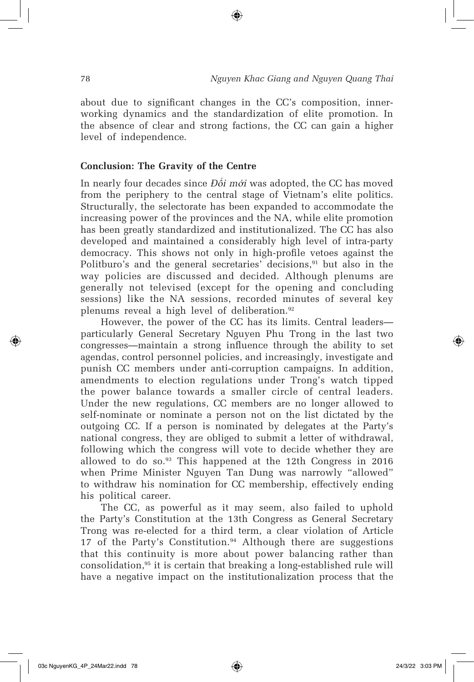about due to significant changes in the CC's composition, innerworking dynamics and the standardization of elite promotion. In the absence of clear and strong factions, the CC can gain a higher level of independence.

⊕

#### **Conclusion: The Gravity of the Centre**

In nearly four decades since *Đ*ổ*i m*ớ*i* was adopted, the CC has moved from the periphery to the central stage of Vietnam's elite politics. Structurally, the selectorate has been expanded to accommodate the increasing power of the provinces and the NA, while elite promotion has been greatly standardized and institutionalized. The CC has also developed and maintained a considerably high level of intra-party democracy. This shows not only in high-profile vetoes against the Politburo's and the general secretaries' decisions, $91$  but also in the way policies are discussed and decided. Although plenums are generally not televised (except for the opening and concluding sessions) like the NA sessions, recorded minutes of several key plenums reveal a high level of deliberation.92

However, the power of the CC has its limits. Central leaders particularly General Secretary Nguyen Phu Trong in the last two congresses—maintain a strong influence through the ability to set agendas, control personnel policies, and increasingly, investigate and punish CC members under anti-corruption campaigns. In addition, amendments to election regulations under Trong's watch tipped the power balance towards a smaller circle of central leaders. Under the new regulations, CC members are no longer allowed to self-nominate or nominate a person not on the list dictated by the outgoing CC. If a person is nominated by delegates at the Party's national congress, they are obliged to submit a letter of withdrawal, following which the congress will vote to decide whether they are allowed to do so.93 This happened at the 12th Congress in 2016 when Prime Minister Nguyen Tan Dung was narrowly "allowed" to withdraw his nomination for CC membership, effectively ending his political career.

The CC, as powerful as it may seem, also failed to uphold the Party's Constitution at the 13th Congress as General Secretary Trong was re-elected for a third term, a clear violation of Article 17 of the Party's Constitution. $94$  Although there are suggestions that this continuity is more about power balancing rather than consolidation,95 it is certain that breaking a long-established rule will have a negative impact on the institutionalization process that the

↔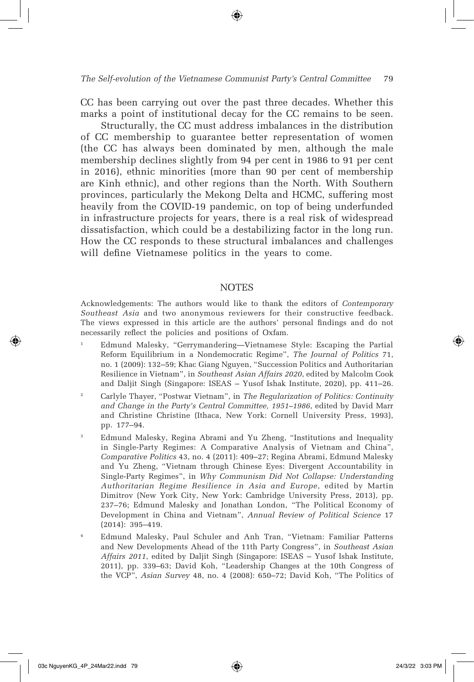CC has been carrying out over the past three decades. Whether this marks a point of institutional decay for the CC remains to be seen.

Structurally, the CC must address imbalances in the distribution of CC membership to guarantee better representation of women (the CC has always been dominated by men, although the male membership declines slightly from 94 per cent in 1986 to 91 per cent in 2016), ethnic minorities (more than 90 per cent of membership are Kinh ethnic), and other regions than the North. With Southern provinces, particularly the Mekong Delta and HCMC, suffering most heavily from the COVID-19 pandemic, on top of being underfunded in infrastructure projects for years, there is a real risk of widespread dissatisfaction, which could be a destabilizing factor in the long run. How the CC responds to these structural imbalances and challenges will define Vietnamese politics in the years to come.

#### **NOTES**

Acknowledgements: The authors would like to thank the editors of *Contemporary Southeast Asia* and two anonymous reviewers for their constructive feedback. The views expressed in this article are the authors' personal findings and do not necessarily reflect the policies and positions of Oxfam.

- <sup>1</sup> Edmund Malesky, "Gerrymandering—Vietnamese Style: Escaping the Partial Reform Equilibrium in a Nondemocratic Regime", *The Journal of Politics* 71, no. 1 (2009): 132–59; Khac Giang Nguyen, "Succession Politics and Authoritarian Resilience in Vietnam", in *Southeast Asian Affairs 2020*, edited by Malcolm Cook and Daljit Singh (Singapore: ISEAS – Yusof Ishak Institute, 2020), pp. 411–26.
- <sup>2</sup> Carlyle Thayer, "Postwar Vietnam", in *The Regularization of Politics: Continuity and Change in the Party's Central Committee, 1951–1986*, edited by David Marr and Christine Christine (Ithaca, New York: Cornell University Press, 1993), pp. 177–94.
- <sup>3</sup> Edmund Malesky, Regina Abrami and Yu Zheng, "Institutions and Inequality in Single-Party Regimes: A Comparative Analysis of Vietnam and China", *Comparative Politics* 43, no. 4 (2011): 409–27; Regina Abrami, Edmund Malesky and Yu Zheng, "Vietnam through Chinese Eyes: Divergent Accountability in Single-Party Regimes", in *Why Communism Did Not Collapse: Understanding Authoritarian Regime Resilience in Asia and Europe*, edited by Martin Dimitrov (New York City, New York: Cambridge University Press, 2013), pp. 237–76; Edmund Malesky and Jonathan London, "The Political Economy of Development in China and Vietnam", *Annual Review of Political Science* 17 (2014): 395–419.
- <sup>4</sup> Edmund Malesky, Paul Schuler and Anh Tran, "Vietnam: Familiar Patterns and New Developments Ahead of the 11th Party Congress", in *Southeast Asian Affairs 2011*, edited by Daljit Singh (Singapore: ISEAS – Yusof Ishak Institute, 2011), pp. 339–63; David Koh, "Leadership Changes at the 10th Congress of the VCP", *Asian Survey* 48, no. 4 (2008): 650–72; David Koh, "The Politics of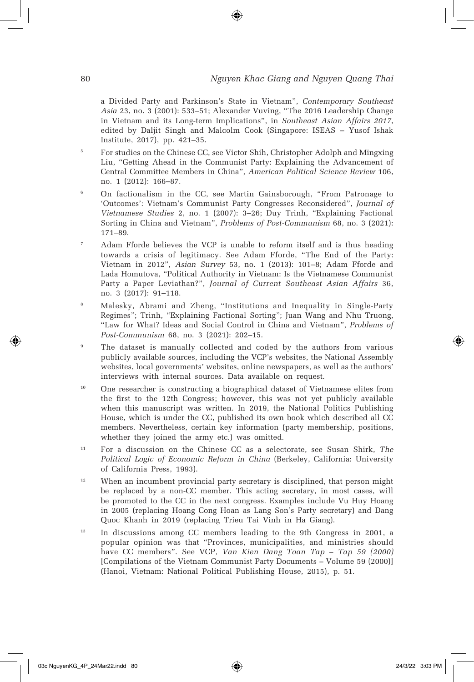a Divided Party and Parkinson's State in Vietnam", *Contemporary Southeast Asia* 23, no. 3 (2001): 533–51; Alexander Vuving, "The 2016 Leadership Change in Vietnam and its Long-term Implications", in *Southeast Asian Affairs 2017*, edited by Daljit Singh and Malcolm Cook (Singapore: ISEAS – Yusof Ishak Institute, 2017), pp. 421–35.

- <sup>5</sup> For studies on the Chinese CC, see Victor Shih, Christopher Adolph and Mingxing Liu, "Getting Ahead in the Communist Party: Explaining the Advancement of Central Committee Members in China", *American Political Science Review* 106, no. 1 (2012): 166–87.
- <sup>6</sup> On factionalism in the CC, see Martin Gainsborough, "From Patronage to 'Outcomes': Vietnam's Communist Party Congresses Reconsidered", *Journal of Vietnamese Studies* 2, no. 1 (2007): 3–26; Duy Trinh, "Explaining Factional Sorting in China and Vietnam", *Problems of Post-Communism* 68, no. 3 (2021): 171–89.
- <sup>7</sup> Adam Fforde believes the VCP is unable to reform itself and is thus heading towards a crisis of legitimacy. See Adam Fforde, "The End of the Party: Vietnam in 2012", *Asian Survey* 53, no. 1 (2013): 101–8; Adam Fforde and Lada Homutova, "Political Authority in Vietnam: Is the Vietnamese Communist Party a Paper Leviathan?", *Journal of Current Southeast Asian Affairs* 36, no. 3 (2017): 91–118.
- <sup>8</sup> Malesky, Abrami and Zheng, "Institutions and Inequality in Single-Party Regimes"; Trinh, "Explaining Factional Sorting"; Juan Wang and Nhu Truong, "Law for What? Ideas and Social Control in China and Vietnam", *Problems of Post-Communism* 68, no. 3 (2021): 202–15.
- The dataset is manually collected and coded by the authors from various publicly available sources, including the VCP's websites, the National Assembly websites, local governments' websites, online newspapers, as well as the authors' interviews with internal sources. Data available on request.
- <sup>10</sup> One researcher is constructing a biographical dataset of Vietnamese elites from the first to the 12th Congress; however, this was not yet publicly available when this manuscript was written. In 2019, the National Politics Publishing House, which is under the CC, published its own book which described all CC members. Nevertheless, certain key information (party membership, positions, whether they joined the army etc.) was omitted.
- <sup>11</sup> For a discussion on the Chinese CC as a selectorate, see Susan Shirk, *The Political Logic of Economic Reform in China* (Berkeley, California: University of California Press, 1993).
- <sup>12</sup> When an incumbent provincial party secretary is disciplined, that person might be replaced by a non-CC member. This acting secretary, in most cases, will be promoted to the CC in the next congress. Examples include Vu Huy Hoang in 2005 (replacing Hoang Cong Hoan as Lang Son's Party secretary) and Dang Quoc Khanh in 2019 (replacing Trieu Tai Vinh in Ha Giang).
- <sup>13</sup> In discussions among CC members leading to the 9th Congress in 2001, a popular opinion was that "Provinces, municipalities, and ministries should have CC members". See VCP*, Van Kien Dang Toan Tap – Tap 59 (2000)* [Compilations of the Vietnam Communist Party Documents *–* Volume 59 (2000)] (Hanoi, Vietnam: National Political Publishing House, 2015), p. 51.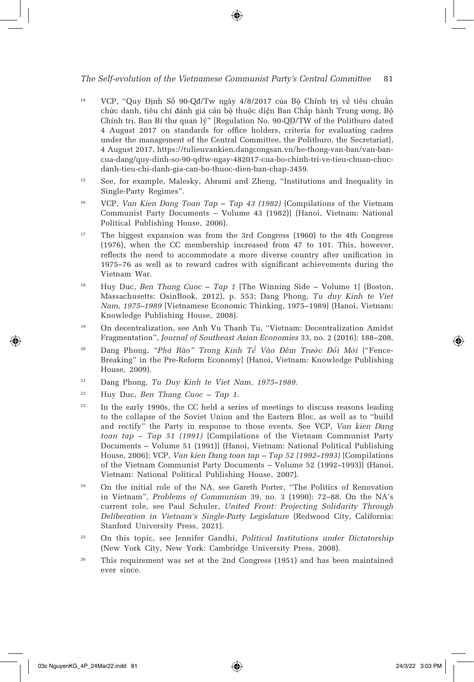#### *The Self-evolution of the Vietnamese Communist Party's Central Committee* 81

- <sup>14</sup> VCP, "Quy Định Số 90-Qđ/Tw ngày 4/8/2017 của Bộ Chính trị về tiêu chuẩn chức danh, tiêu chí đánh giá cán bộ thuộc diện Ban Chấp hành Trung ương, Bộ Chính trị, Ban Bí thư quản lý" [Regulation No. 90-QD/TW of the Politburo dated 4 August 2017 on standards for office holders, criteria for evaluating cadres under the management of the Central Committee, the Politburo, the Secretariat], 4 August 2017, https://tulieuvankien.dangcongsan.vn/he-thong-van-ban/van-bancua-dang/quy-dinh-so-90-qdtw-ngay-482017-cua-bo-chinh-tri-ve-tieu-chuan-chucdanh-tieu-chi-danh-gia-can-bo-thuoc-dien-ban-chap-3459.
- <sup>15</sup> See, for example, Malesky, Abrami and Zheng, "Institutions and Inequality in Single-Party Regimes".
- <sup>16</sup> VCP, *Van Kien Dang Toan Tap Tap 43 (1982)* [Compilations of the Vietnam Communist Party Documents – Volume 43 (1982)] (Hanoi, Vietnam: National Political Publishing House, 2006).
- <sup>17</sup> The biggest expansion was from the 3rd Congress (1960) to the 4th Congress (1976), when the CC membership increased from 47 to 101. This, however, reflects the need to accommodate a more diverse country after unification in 1975–76 as well as to reward cadres with significant achievements during the Vietnam War.
- <sup>18</sup> Huy Duc, *Ben Thang Cuoc Tap 1* [The Winning Side Volume 1] (Boston, Massachusetts: OsinBook, 2012), p. 553; Dang Phong, *Tu duy Kinh te Viet Nam, 1975–1989* [Vietnamese Economic Thinking, 1975–1989] (Hanoi, Vietnam: Knowledge Publishing House, 2008).
- <sup>19</sup> On decentralization, see Anh Vu Thanh Tu, "Vietnam: Decentralization Amidst Fragmentation", *Journal of Southeast Asian Economies* 33, no. 2 (2016): 188–208.
- <sup>20</sup> Dang Phong, *"Phá Rào" Trong Kinh Tế Vào Đêm Trước Đổi Mới* ["Fence-Breaking" in the Pre-Reform Economy] (Hanoi, Vietnam: Knowledge Publishing House, 2009).
- <sup>21</sup> Dang Phong, *Tu Duy Kinh te Viet Nam, 1975–1989.*
- <sup>22</sup> Huy Duc, *Ben Thang Cuoc Tap 1*.
- <sup>23</sup> In the early 1990s, the CC held a series of meetings to discuss reasons leading to the collapse of the Soviet Union and the Eastern Bloc, as well as to "build and rectify" the Party in response to those events. See VCP, *Van kien Dang toan tap – Tap 51 (1991)* [Compilations of the Vietnam Communist Party Documents – Volume 51 (1991)] (Hanoi, Vietnam: National Political Publishing House, 2006); VCP, *Van kien Dang toan tap – Tap 52 (1992–1993)* [Compilations of the Vietnam Communist Party Documents – Volume 52 (1992*–*1993)] (Hanoi, Vietnam: National Political Publishing House, 2007).
- <sup>24</sup> On the initial role of the NA, see Gareth Porter, "The Politics of Renovation in Vietnam", *Problems of Communism* 39, no. 3 (1990): 72–88. On the NA's current role, see Paul Schuler, *United Front: Projecting Solidarity Through Deliberation in Vietnam's Single-Party Legislature* (Redwood City, California: Stanford University Press, 2021).
- <sup>25</sup> On this topic, see Jennifer Gandhi, *Political Institutions under Dictatorship* (New York City, New York: Cambridge University Press, 2008).
- <sup>26</sup> This requirement was set at the 2nd Congress (1951) and has been maintained ever since.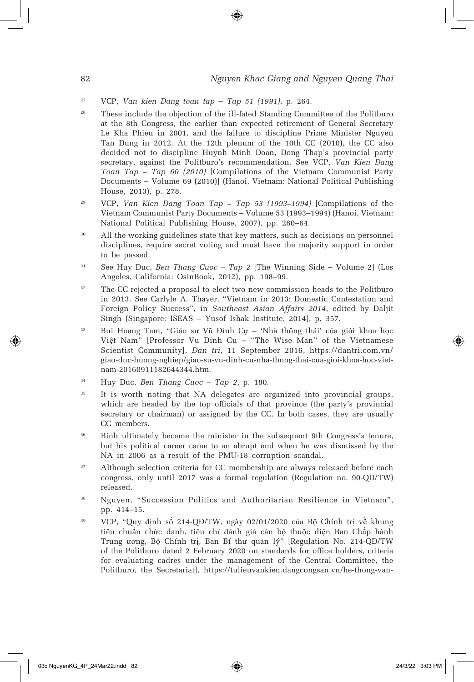#### 82 *Nguyen Khac Giang and Nguyen Quang Thai*

- <sup>27</sup> VCP, *Van kien Dang toan tap* – *Tap 51 (1991)*, p. 264*.*
- <sup>28</sup> These include the objection of the ill-fated Standing Committee of the Politburo at the 8th Congress, the earlier than expected retirement of General Secretary Le Kha Phieu in 2001, and the failure to discipline Prime Minister Nguyen Tan Dung in 2012. At the 12th plenum of the 10th CC (2010), the CC also decided not to discipline Huynh Minh Doan, Dong Thap's provincial party secretary, against the Politburo's recommendation. See VCP, *Van Kien Dang Toan Tap – Tap 60 (2010)* [Compilations of the Vietnam Communist Party Documents – Volume 69 (2010)] (Hanoi, Vietnam: National Political Publishing House, 2013), p. 278.
- <sup>29</sup> VCP, *Van Kien Dang Toan Tap Tap 53 (1993–1994)* [Compilations of the Vietnam Communist Party Documents – Volume 53 (1993–1994) (Hanoi, Vietnam: National Political Publishing House, 2007), pp. 260–64.
- <sup>30</sup> All the working guidelines state that key matters, such as decisions on personnel disciplines, require secret voting and must have the majority support in order to be passed.
- <sup>31</sup> See Huy Duc, *Ben Thang Cuoc Tap 2* [The Winning Side Volume 2] (Los Angeles, California: OsinBook, 2012), pp. 198–99.
- <sup>32</sup> The CC rejected a proposal to elect two new commission heads to the Politburo in 2013. See Carlyle A. Thayer, "Vietnam in 2013: Domestic Contestation and Foreign Policy Success", in *Southeast Asian Affairs 2014*, edited by Daljit Singh (Singapore: ISEAS – Yusof Ishak Institute, 2014), p. 357.
- <sup>33</sup> Bui Hoang Tam, "Giáo sư Vũ Đình Cự 'Nhà thông thái' của giới khoa học Việt Nam" [Professor Vu Dinh Cu – "The Wise Man" of the Vietnamese Scientist Community], *Dan tri*, 11 September 2016, https://dantri.com.vn/ giao-duc-huong-nghiep/giao-su-vu-dinh-cu-nha-thong-thai-cua-gioi-khoa-hoc-vietnam-20160911182644344.htm.
- <sup>34</sup> Huy Duc, *Ben Thang Cuoc Tap 2*, p. 180.
- <sup>35</sup> It is worth noting that NA delegates are organized into provincial groups, which are headed by the top officials of that province (the party's provincial secretary or chairman) or assigned by the CC. In both cases, they are usually CC members.
- <sup>36</sup> Binh ultimately became the minister in the subsequent 9th Congress's tenure, but his political career came to an abrupt end when he was dismissed by the NA in 2006 as a result of the PMU-18 corruption scandal.
- <sup>37</sup> Although selection criteria for CC membership are always released before each congress, only until 2017 was a formal regulation (Regulation no. 90-QD/TW) released.
- <sup>38</sup> Nguyen, "Succession Politics and Authoritarian Resilience in Vietnam", pp. 414–15.
- <sup>39</sup> VCP, "Quy định số 214-QĐ/TW, ngày 02/01/2020 của Bộ Chính trị về khung tiêu chuẩn chức danh, tiêu chí đánh giá cán bộ thuộc diện Ban Chấp hành Trung ương, Bộ Chính trị, Ban Bí thư quản lý" [Regulation No. 214-QD/TW of the Politburo dated 2 February 2020 on standards for office holders, criteria for evaluating cadres under the management of the Central Committee, the Politburo, the Secretariat], https://tulieuvankien.dangcongsan.vn/he-thong-van-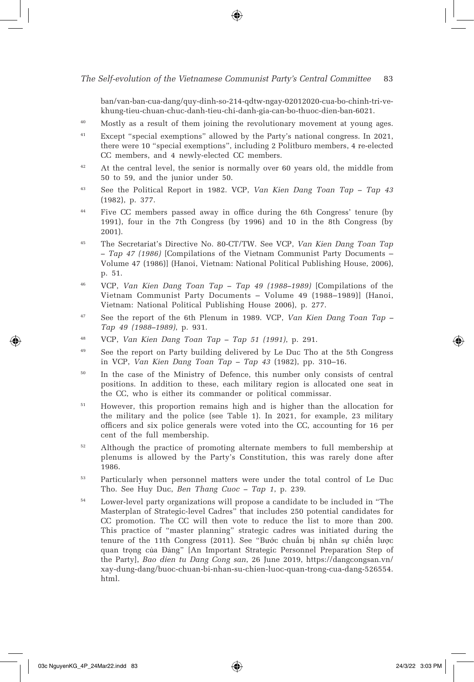ban/van-ban-cua-dang/quy-dinh-so-214-qdtw-ngay-02012020-cua-bo-chinh-tri-vekhung-tieu-chuan-chuc-danh-tieu-chi-danh-gia-can-bo-thuoc-dien-ban-6021.

- <sup>40</sup> Mostly as a result of them joining the revolutionary movement at young ages.
- <sup>41</sup> Except "special exemptions" allowed by the Party's national congress. In 2021, there were 10 "special exemptions", including 2 Politburo members, 4 re-elected CC members, and 4 newly-elected CC members.
- <sup>42</sup> At the central level, the senior is normally over 60 years old, the middle from 50 to 59, and the junior under 50.
- <sup>43</sup> See the Political Report in 1982. VCP, *Van Kien Dang Toan Tap Tap 43* (1982), p. 377.
- <sup>44</sup> Five CC members passed away in office during the 6th Congress' tenure (by 1991), four in the 7th Congress (by 1996) and 10 in the 8th Congress (by 2001).
- <sup>45</sup> The Secretariat's Directive No. 80-CT/TW. See VCP, *Van Kien Dang Toan Tap – Tap 47 (1986)* [Compilations of the Vietnam Communist Party Documents – Volume 47 (1986)] (Hanoi, Vietnam: National Political Publishing House, 2006), p. 51.
- <sup>46</sup> VCP, *Van Kien Dang Toan Tap Tap 49 (1988–1989)* [Compilations of the Vietnam Communist Party Documents – Volume 49 (1988–1989)] (Hanoi, Vietnam: National Political Publishing House 2006), p. 277.
- <sup>47</sup> See the report of the 6th Plenum in 1989. VCP, *Van Kien Dang Toan Tap Tap 49 (1988–1989)*, p. 931.
- <sup>48</sup> VCP, *Van Kien Dang Toan Tap Tap 51 (1991)*, p. 291.
- <sup>49</sup> See the report on Party building delivered by Le Duc Tho at the 5th Congress in VCP, *Van Kien Dang Toan Tap – Tap 43* (1982), pp. 310–16.
- <sup>50</sup> In the case of the Ministry of Defence, this number only consists of central positions. In addition to these, each military region is allocated one seat in the CC, who is either its commander or political commissar.
- <sup>51</sup> However, this proportion remains high and is higher than the allocation for the military and the police (see Table 1). In 2021, for example, 23 military officers and six police generals were voted into the CC, accounting for 16 per cent of the full membership.
- <sup>52</sup> Although the practice of promoting alternate members to full membership at plenums is allowed by the Party's Constitution, this was rarely done after 1986.
- <sup>53</sup> Particularly when personnel matters were under the total control of Le Duc Tho. See Huy Duc, *Ben Thang Cuoc – Tap 1*, p. 239.
- <sup>54</sup> Lower-level party organizations will propose a candidate to be included in "The Masterplan of Strategic-level Cadres" that includes 250 potential candidates for CC promotion. The CC will then vote to reduce the list to more than 200. This practice of "master planning" strategic cadres was initiated during the tenure of the 11th Congress (2011). See "Bước chuẩn bị nhân sự chiến lược quan trọng của Đảng" [An Important Strategic Personnel Preparation Step of the Party], *Bao dien tu Dang Cong san*, 26 June 2019, https://dangcongsan.vn/ xay-dung-dang/buoc-chuan-bi-nhan-su-chien-luoc-quan-trong-cua-dang-526554. html.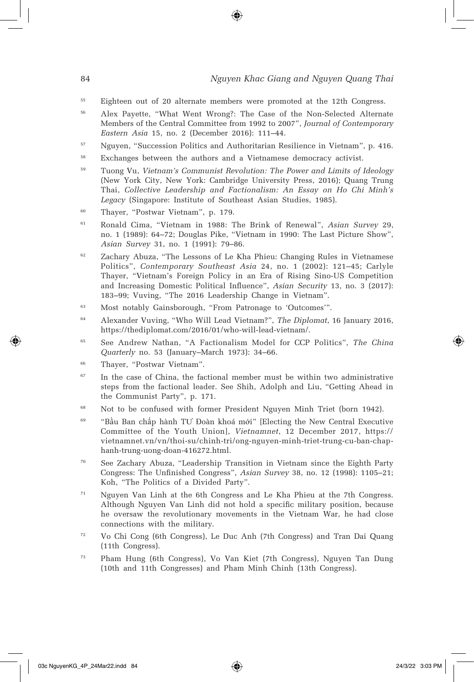#### 84 *Nguyen Khac Giang and Nguyen Quang Thai*

- <sup>55</sup> Eighteen out of 20 alternate members were promoted at the 12th Congress.
- <sup>56</sup> Alex Payette, "What Went Wrong?: The Case of the Non-Selected Alternate Members of the Central Committee from 1992 to 2007", *Journal of Contemporary Eastern Asia* 15, no. 2 (December 2016): 111–44.
- <sup>57</sup> Nguyen, "Succession Politics and Authoritarian Resilience in Vietnam", p. 416.
- <sup>58</sup> Exchanges between the authors and a Vietnamese democracy activist.
- <sup>59</sup> Tuong Vu, *Vietnam's Communist Revolution: The Power and Limits of Ideology* (New York City, New York: Cambridge University Press, 2016); Quang Trung Thai, *Collective Leadership and Factionalism: An Essay on Ho Chi Minh's Legacy* (Singapore: Institute of Southeast Asian Studies, 1985).
- <sup>60</sup> Thayer, "Postwar Vietnam", p. 179.
- <sup>61</sup> Ronald Cima, "Vietnam in 1988: The Brink of Renewal", *Asian Survey* 29, no. 1 (1989): 64–72; Douglas Pike, "Vietnam in 1990: The Last Picture Show", *Asian Survey* 31, no. 1 (1991): 79–86.
- <sup>62</sup> Zachary Abuza, "The Lessons of Le Kha Phieu: Changing Rules in Vietnamese Politics", *Contemporary Southeast Asia* 24, no. 1 (2002): 121–45; Carlyle Thayer, "Vietnam's Foreign Policy in an Era of Rising Sino-US Competition and Increasing Domestic Political Influence", *Asian Security* 13, no. 3 (2017): 183–99; Vuving, "The 2016 Leadership Change in Vietnam".
- <sup>63</sup> Most notably Gainsborough, "From Patronage to 'Outcomes'".
- <sup>64</sup> Alexander Vuving, "Who Will Lead Vietnam?", *The Diplomat*, 16 January 2016, https://thediplomat.com/2016/01/who-will-lead-vietnam/.
- <sup>65</sup> See Andrew Nathan, "A Factionalism Model for CCP Politics", *The China Quarterly* no. 53 (January–March 1973): 34–66.
- <sup>66</sup> Thayer, "Postwar Vietnam".
- $67$  In the case of China, the factional member must be within two administrative steps from the factional leader. See Shih, Adolph and Liu, "Getting Ahead in the Communist Party", p. 171.
- <sup>68</sup> Not to be confused with former President Nguyen Minh Triet (born 1942).
- <sup>69</sup> "Bầu Ban chấp hành TƯ Đoàn khoá mới" [Electing the New Central Executive Committee of the Youth Union], *Vietnamnet*, 12 December 2017, https:// vietnamnet.vn/vn/thoi-su/chinh-tri/ong-nguyen-minh-triet-trung-cu-ban-chaphanh-trung-uong-doan-416272.html.
- <sup>70</sup> See Zachary Abuza, "Leadership Transition in Vietnam since the Eighth Party Congress: The Unfinished Congress", *Asian Survey* 38, no. 12 (1998): 1105–21; Koh, "The Politics of a Divided Party".
- <sup>71</sup> Nguyen Van Linh at the 6th Congress and Le Kha Phieu at the 7th Congress. Although Nguyen Van Linh did not hold a specific military position, because he oversaw the revolutionary movements in the Vietnam War, he had close connections with the military.
- <sup>72</sup> Vo Chi Cong (6th Congress), Le Duc Anh (7th Congress) and Tran Dai Quang (11th Congress).
- <sup>73</sup> Pham Hung (6th Congress), Vo Van Kiet (7th Congress), Nguyen Tan Dung (10th and 11th Congresses) and Pham Minh Chinh (13th Congress).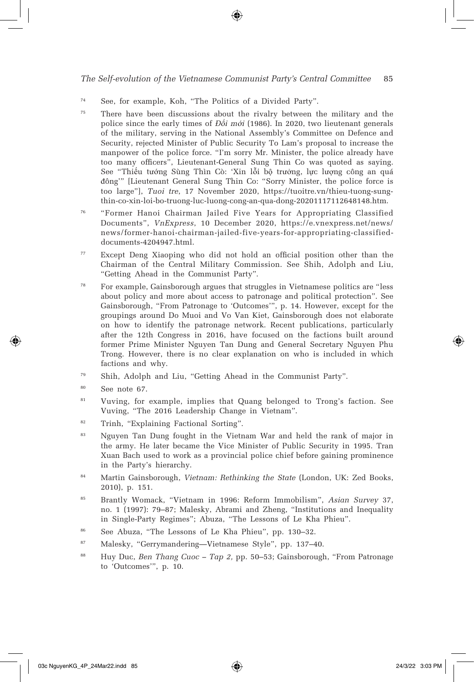- <sup>74</sup> See, for example, Koh, "The Politics of a Divided Party".
- <sup>75</sup> There have been discussions about the rivalry between the military and the police since the early times of *Đ*ổ*i m*ớ*i* (1986). In 2020, two lieutenant generals of the military, serving in the National Assembly's Committee on Defence and Security, rejected Minister of Public Security To Lam's proposal to increase the manpower of the police force. "I'm sorry Mr. Minister, the police already have too many officers", Lieutenant-General Sung Thin Co was quoted as saying. See "Thiếu tướng Sùng Thìn Cò: 'Xin lỗi bộ trưởng, lực lượng công an quá đông'" [Lieutenant General Sung Thin Co: "Sorry Minister, the police force is too large"], *Tuoi tre*, 17 November 2020, https://tuoitre.vn/thieu-tuong-sungthin-co-xin-loi-bo-truong-luc-luong-cong-an-qua-dong-20201117112648148.htm.
- <sup>76</sup> "Former Hanoi Chairman Jailed Five Years for Appropriating Classified Documents", *VnExpress*, 10 December 2020, https://e.vnexpress.net/news/ news/former-hanoi-chairman-jailed-five-years-for-appropriating-classifieddocuments-4204947.html.
- <sup>77</sup> Except Deng Xiaoping who did not hold an official position other than the Chairman of the Central Military Commission. See Shih, Adolph and Liu, "Getting Ahead in the Communist Party".
- <sup>78</sup> For example, Gainsborough argues that struggles in Vietnamese politics are "less about policy and more about access to patronage and political protection". See Gainsborough, "From Patronage to 'Outcomes'", p. 14. However, except for the groupings around Do Muoi and Vo Van Kiet, Gainsborough does not elaborate on how to identify the patronage network. Recent publications, particularly after the 12th Congress in 2016, have focused on the factions built around former Prime Minister Nguyen Tan Dung and General Secretary Nguyen Phu Trong. However, there is no clear explanation on who is included in which factions and why.
- <sup>79</sup> Shih, Adolph and Liu, "Getting Ahead in the Communist Party".
- <sup>80</sup> See note 67.
- <sup>81</sup> Vuving, for example, implies that Quang belonged to Trong's faction. See Vuving, "The 2016 Leadership Change in Vietnam".
- <sup>82</sup> Trinh, "Explaining Factional Sorting".
- <sup>83</sup> Nguyen Tan Dung fought in the Vietnam War and held the rank of major in the army. He later became the Vice Minister of Public Security in 1995. Tran Xuan Bach used to work as a provincial police chief before gaining prominence in the Party's hierarchy.
- <sup>84</sup> Martin Gainsborough, *Vietnam: Rethinking the State* (London, UK: Zed Books, 2010), p. 151.
- <sup>85</sup> Brantly Womack, "Vietnam in 1996: Reform Immobilism", *Asian Survey* 37, no. 1 (1997): 79–87; Malesky, Abrami and Zheng, "Institutions and Inequality in Single-Party Regimes"; Abuza, "The Lessons of Le Kha Phieu".
- <sup>86</sup> See Abuza, "The Lessons of Le Kha Phieu", pp. 130–32.
- <sup>87</sup> Malesky, "Gerrymandering—Vietnamese Style", pp. 137–40.
- <sup>88</sup> Huy Duc, *Ben Thang Cuoc Tap 2,* pp. 50–53; Gainsborough, "From Patronage to 'Outcomes'", p. 10.